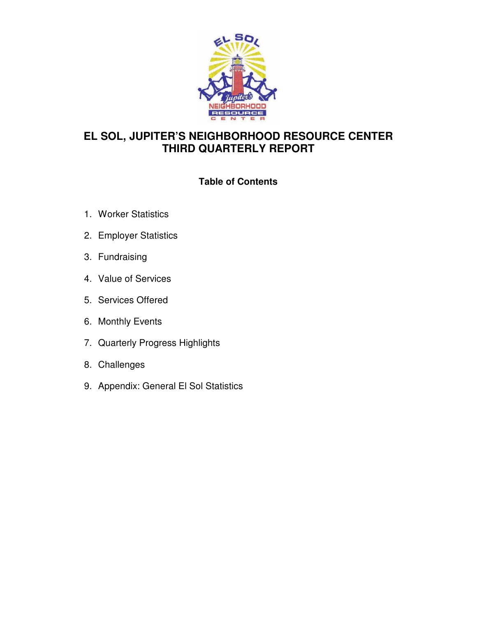

# **EL SOL, JUPITER'S NEIGHBORHOOD RESOURCE CENTER THIRD QUARTERLY REPORT**

# **Table of Contents**

- 1. Worker Statistics
- 2. Employer Statistics
- 3. Fundraising
- 4. Value of Services
- 5. Services Offered
- 6. Monthly Events
- 7. Quarterly Progress Highlights
- 8. Challenges
- 9. Appendix: General El Sol Statistics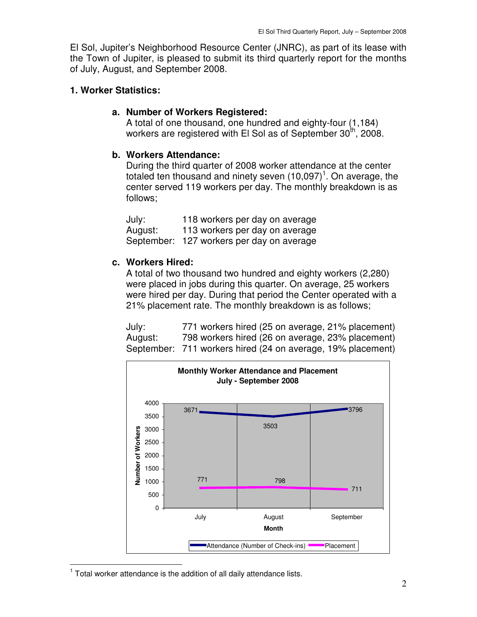El Sol, Jupiter's Neighborhood Resource Center (JNRC), as part of its lease with the Town of Jupiter, is pleased to submit its third quarterly report for the months of July, August, and September 2008.

## **1. Worker Statistics:**

## **a. Number of Workers Registered:**

A total of one thousand, one hundred and eighty-four (1,184) workers are registered with El Sol as of September  $30<sup>th</sup>$ , 2008.

## **b. Workers Attendance:**

During the third quarter of 2008 worker attendance at the center totaled ten thousand and ninety seven  $(10,097)^1$ . On average, the center served 119 workers per day. The monthly breakdown is as follows;

July: 118 workers per day on average August: 113 workers per day on average September: 127 workers per day on average

## **c. Workers Hired:**

A total of two thousand two hundred and eighty workers (2,280) were placed in jobs during this quarter. On average, 25 workers were hired per day. During that period the Center operated with a 21% placement rate. The monthly breakdown is as follows;

July: 771 workers hired (25 on average, 21% placement) August: 798 workers hired (26 on average, 23% placement) September: 711 workers hired (24 on average, 19% placement)



 $1$  Total worker attendance is the addition of all daily attendance lists.

l.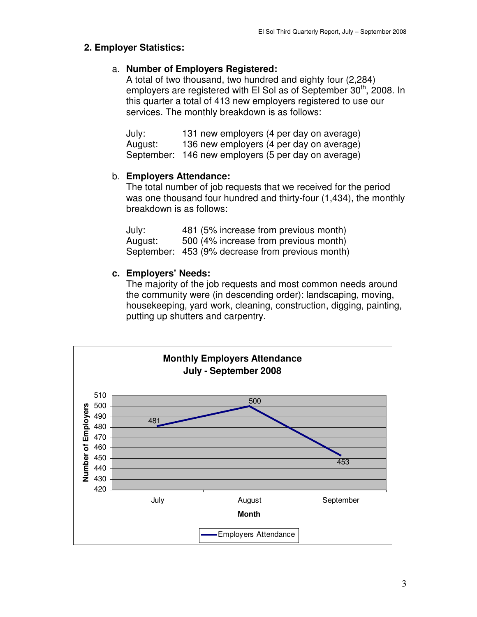## **2. Employer Statistics:**

## a. **Number of Employers Registered:**

A total of two thousand, two hundred and eighty four (2,284) employers are registered with El Sol as of September 30<sup>th</sup>, 2008. In this quarter a total of 413 new employers registered to use our services. The monthly breakdown is as follows:

| July:      | 131 new employers (4 per day on average) |
|------------|------------------------------------------|
| August:    | 136 new employers (4 per day on average) |
| September: | 146 new employers (5 per day on average) |

## b. **Employers Attendance:**

The total number of job requests that we received for the period was one thousand four hundred and thirty-four (1,434), the monthly breakdown is as follows:

July: 481 (5% increase from previous month) August: 500 (4% increase from previous month) September: 453 (9% decrease from previous month)

## **c. Employers' Needs:**

The majority of the job requests and most common needs around the community were (in descending order): landscaping, moving, housekeeping, yard work, cleaning, construction, digging, painting, putting up shutters and carpentry.

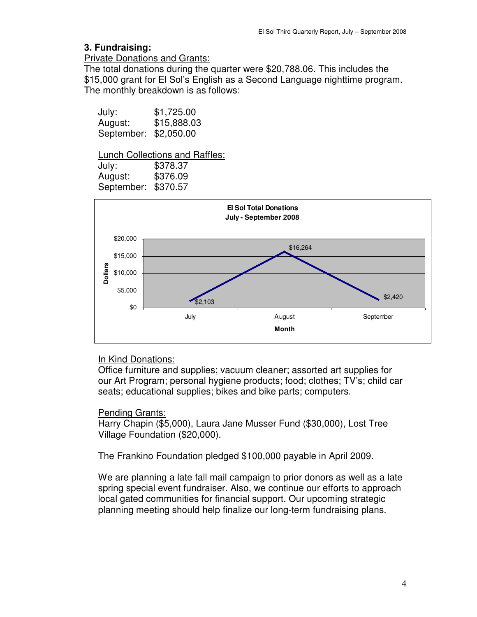#### **3. Fundraising:**

#### Private Donations and Grants:

The total donations during the quarter were \$20,788.06. This includes the \$15,000 grant for El Sol's English as a Second Language nighttime program. The monthly breakdown is as follows:

| July:                 | \$1,725.00  |
|-----------------------|-------------|
| August:               | \$15,888.03 |
| September: \$2,050.00 |             |

#### Lunch Collections and Raffles: July: \$378.37

August: \$376.09 September: \$370.57



#### In Kind Donations:

Office furniture and supplies; vacuum cleaner; assorted art supplies for our Art Program; personal hygiene products; food; clothes; TV's; child car seats; educational supplies; bikes and bike parts; computers.

#### Pending Grants:

Harry Chapin (\$5,000), Laura Jane Musser Fund (\$30,000), Lost Tree Village Foundation (\$20,000).

The Frankino Foundation pledged \$100,000 payable in April 2009.

We are planning a late fall mail campaign to prior donors as well as a late spring special event fundraiser. Also, we continue our efforts to approach local gated communities for financial support. Our upcoming strategic planning meeting should help finalize our long-term fundraising plans.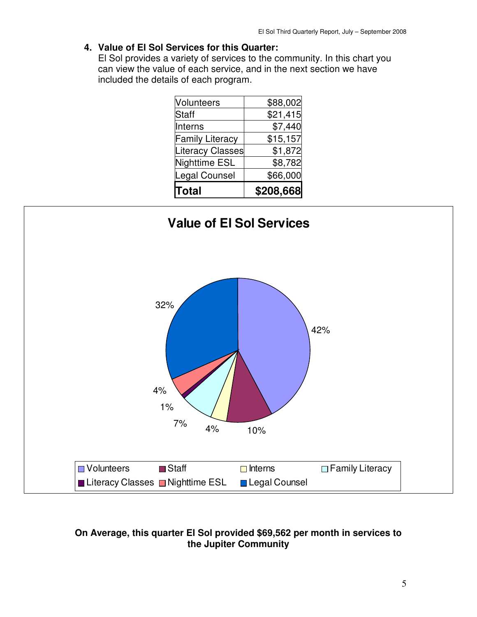#### **4. Value of El Sol Services for this Quarter:**

El Sol provides a variety of services to the community. In this chart you can view the value of each service, and in the next section we have included the details of each program.

| <b>Total</b>            | \$208,668 |
|-------------------------|-----------|
| <b>Legal Counsel</b>    | \$66,000  |
| Nighttime ESL           | \$8,782   |
| <b>Literacy Classes</b> | \$1,872   |
| <b>Family Literacy</b>  | \$15,157  |
| Interns                 | \$7,440   |
| Staff                   | \$21,415  |
| Volunteers              | \$88,002  |



## **On Average, this quarter El Sol provided \$69,562 per month in services to the Jupiter Community**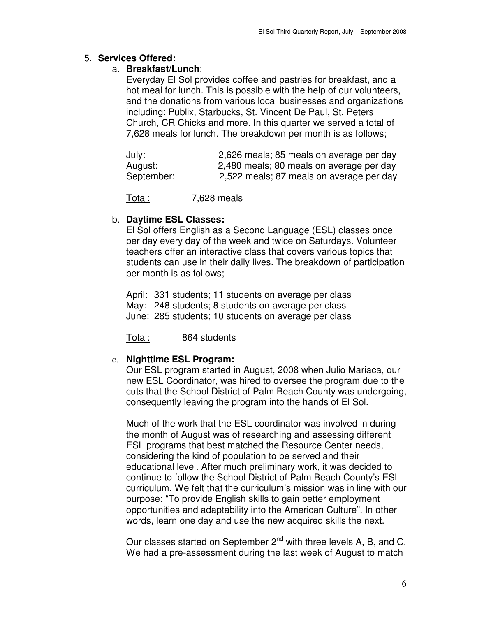### 5. **Services Offered:**

#### a. **Breakfast/Lunch**:

Everyday El Sol provides coffee and pastries for breakfast, and a hot meal for lunch. This is possible with the help of our volunteers, and the donations from various local businesses and organizations including: Publix, Starbucks, St. Vincent De Paul, St. Peters Church, CR Chicks and more. In this quarter we served a total of 7,628 meals for lunch. The breakdown per month is as follows;

| July:      | 2,626 meals; 85 meals on average per day |
|------------|------------------------------------------|
| August:    | 2,480 meals; 80 meals on average per day |
| September: | 2,522 meals; 87 meals on average per day |

Total: 7,628 meals

### b. **Daytime ESL Classes:**

El Sol offers English as a Second Language (ESL) classes once per day every day of the week and twice on Saturdays. Volunteer teachers offer an interactive class that covers various topics that students can use in their daily lives. The breakdown of participation per month is as follows;

April: 331 students; 11 students on average per class May: 248 students; 8 students on average per class June: 285 students; 10 students on average per class

Total: 864 students

### c. **Nighttime ESL Program:**

Our ESL program started in August, 2008 when Julio Mariaca, our new ESL Coordinator, was hired to oversee the program due to the cuts that the School District of Palm Beach County was undergoing, consequently leaving the program into the hands of El Sol.

Much of the work that the ESL coordinator was involved in during the month of August was of researching and assessing different ESL programs that best matched the Resource Center needs, considering the kind of population to be served and their educational level. After much preliminary work, it was decided to continue to follow the School District of Palm Beach County's ESL curriculum. We felt that the curriculum's mission was in line with our purpose: "To provide English skills to gain better employment opportunities and adaptability into the American Culture". In other words, learn one day and use the new acquired skills the next.

Our classes started on September 2<sup>nd</sup> with three levels A, B, and C. We had a pre-assessment during the last week of August to match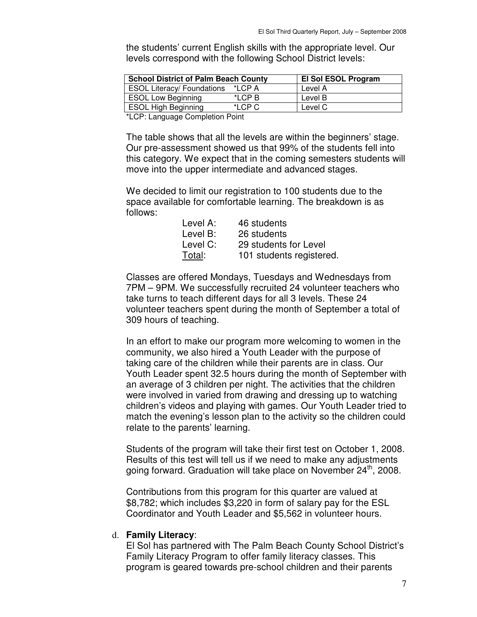the students' current English skills with the appropriate level. Our levels correspond with the following School District levels:

| <b>School District of Palm Beach County</b><br>El Sol ESOL Program |         |
|--------------------------------------------------------------------|---------|
| *LCP A                                                             | Level A |
| $*LCPB$                                                            | Level B |
| *LCP C                                                             | Level C |
|                                                                    |         |

\*LCP: Language Completion Point

The table shows that all the levels are within the beginners' stage. Our pre-assessment showed us that 99% of the students fell into this category. We expect that in the coming semesters students will move into the upper intermediate and advanced stages.

We decided to limit our registration to 100 students due to the space available for comfortable learning. The breakdown is as follows:

| Level A: | 46 students              |
|----------|--------------------------|
| Level B: | 26 students              |
| Level C: | 29 students for Level    |
| Total:   | 101 students registered. |

Classes are offered Mondays, Tuesdays and Wednesdays from 7PM – 9PM. We successfully recruited 24 volunteer teachers who take turns to teach different days for all 3 levels. These 24 volunteer teachers spent during the month of September a total of 309 hours of teaching.

In an effort to make our program more welcoming to women in the community, we also hired a Youth Leader with the purpose of taking care of the children while their parents are in class. Our Youth Leader spent 32.5 hours during the month of September with an average of 3 children per night. The activities that the children were involved in varied from drawing and dressing up to watching children's videos and playing with games. Our Youth Leader tried to match the evening's lesson plan to the activity so the children could relate to the parents' learning.

Students of the program will take their first test on October 1, 2008. Results of this test will tell us if we need to make any adjustments going forward. Graduation will take place on November  $24<sup>th</sup>$ , 2008.

Contributions from this program for this quarter are valued at \$8,782; which includes \$3,220 in form of salary pay for the ESL Coordinator and Youth Leader and \$5,562 in volunteer hours.

#### d. **Family Literacy**:

El Sol has partnered with The Palm Beach County School District's Family Literacy Program to offer family literacy classes. This program is geared towards pre-school children and their parents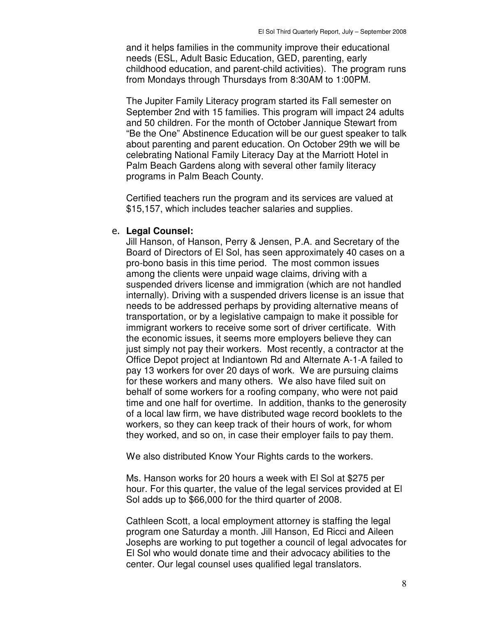and it helps families in the community improve their educational needs (ESL, Adult Basic Education, GED, parenting, early childhood education, and parent-child activities). The program runs from Mondays through Thursdays from 8:30AM to 1:00PM.

The Jupiter Family Literacy program started its Fall semester on September 2nd with 15 families. This program will impact 24 adults and 50 children. For the month of October Jannique Stewart from "Be the One" Abstinence Education will be our guest speaker to talk about parenting and parent education. On October 29th we will be celebrating National Family Literacy Day at the Marriott Hotel in Palm Beach Gardens along with several other family literacy programs in Palm Beach County.

Certified teachers run the program and its services are valued at \$15,157, which includes teacher salaries and supplies.

#### e. **Legal Counsel:**

Jill Hanson, of Hanson, Perry & Jensen, P.A. and Secretary of the Board of Directors of El Sol, has seen approximately 40 cases on a pro-bono basis in this time period. The most common issues among the clients were unpaid wage claims, driving with a suspended drivers license and immigration (which are not handled internally). Driving with a suspended drivers license is an issue that needs to be addressed perhaps by providing alternative means of transportation, or by a legislative campaign to make it possible for immigrant workers to receive some sort of driver certificate. With the economic issues, it seems more employers believe they can just simply not pay their workers. Most recently, a contractor at the Office Depot project at Indiantown Rd and Alternate A-1-A failed to pay 13 workers for over 20 days of work. We are pursuing claims for these workers and many others. We also have filed suit on behalf of some workers for a roofing company, who were not paid time and one half for overtime. In addition, thanks to the generosity of a local law firm, we have distributed wage record booklets to the workers, so they can keep track of their hours of work, for whom they worked, and so on, in case their employer fails to pay them.

We also distributed Know Your Rights cards to the workers.

Ms. Hanson works for 20 hours a week with El Sol at \$275 per hour. For this quarter, the value of the legal services provided at El Sol adds up to \$66,000 for the third quarter of 2008.

Cathleen Scott, a local employment attorney is staffing the legal program one Saturday a month. Jill Hanson, Ed Ricci and Aileen Josephs are working to put together a council of legal advocates for El Sol who would donate time and their advocacy abilities to the center. Our legal counsel uses qualified legal translators.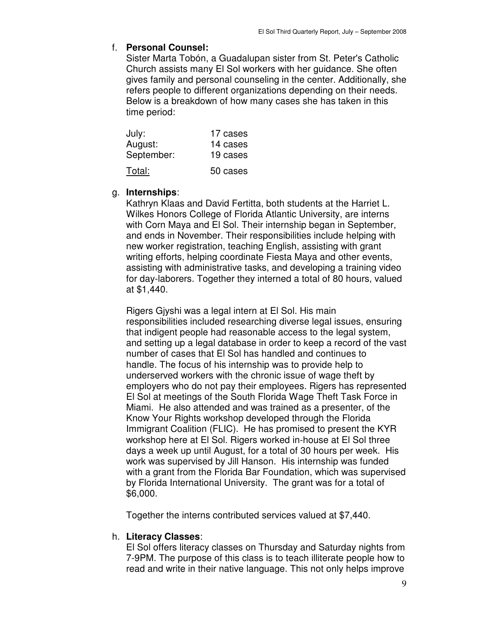#### f. **Personal Counsel:**

Sister Marta Tobón, a Guadalupan sister from St. Peter's Catholic Church assists many El Sol workers with her guidance. She often gives family and personal counseling in the center. Additionally, she refers people to different organizations depending on their needs. Below is a breakdown of how many cases she has taken in this time period:

| July:      | 17 cases |
|------------|----------|
| August:    | 14 cases |
| September: | 19 cases |
| Total:     | 50 cases |

#### g. **Internships**:

Kathryn Klaas and David Fertitta, both students at the Harriet L. Wilkes Honors College of Florida Atlantic University, are interns with Corn Maya and El Sol. Their internship began in September, and ends in November. Their responsibilities include helping with new worker registration, teaching English, assisting with grant writing efforts, helping coordinate Fiesta Maya and other events, assisting with administrative tasks, and developing a training video for day-laborers. Together they interned a total of 80 hours, valued at \$1,440.

Rigers Gjyshi was a legal intern at El Sol. His main responsibilities included researching diverse legal issues, ensuring that indigent people had reasonable access to the legal system, and setting up a legal database in order to keep a record of the vast number of cases that El Sol has handled and continues to handle. The focus of his internship was to provide help to underserved workers with the chronic issue of wage theft by employers who do not pay their employees. Rigers has represented El Sol at meetings of the South Florida Wage Theft Task Force in Miami. He also attended and was trained as a presenter, of the Know Your Rights workshop developed through the Florida Immigrant Coalition (FLIC). He has promised to present the KYR workshop here at El Sol. Rigers worked in-house at El Sol three days a week up until August, for a total of 30 hours per week. His work was supervised by Jill Hanson. His internship was funded with a grant from the Florida Bar Foundation, which was supervised by Florida International University. The grant was for a total of \$6,000.

Together the interns contributed services valued at \$7,440.

### h. **Literacy Classes**:

El Sol offers literacy classes on Thursday and Saturday nights from 7-9PM. The purpose of this class is to teach illiterate people how to read and write in their native language. This not only helps improve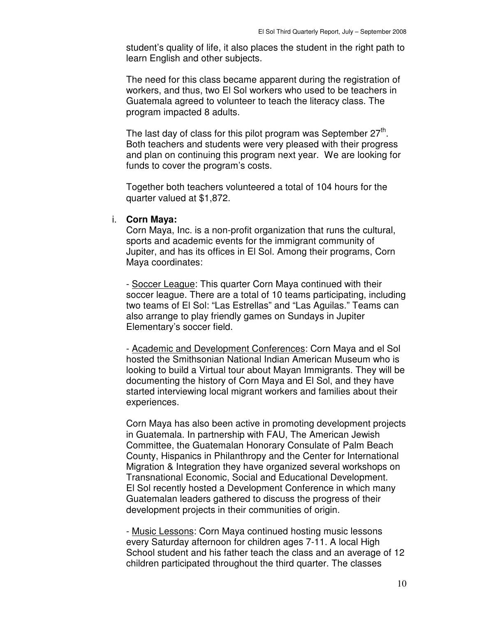student's quality of life, it also places the student in the right path to learn English and other subjects.

The need for this class became apparent during the registration of workers, and thus, two El Sol workers who used to be teachers in Guatemala agreed to volunteer to teach the literacy class. The program impacted 8 adults.

The last day of class for this pilot program was September  $27<sup>th</sup>$ . Both teachers and students were very pleased with their progress and plan on continuing this program next year. We are looking for funds to cover the program's costs.

Together both teachers volunteered a total of 104 hours for the quarter valued at \$1,872.

#### i. **Corn Maya:**

Corn Maya, Inc. is a non-profit organization that runs the cultural, sports and academic events for the immigrant community of Jupiter, and has its offices in El Sol. Among their programs, Corn Maya coordinates:

- Soccer League: This quarter Corn Maya continued with their soccer league. There are a total of 10 teams participating, including two teams of El Sol: "Las Estrellas" and "Las Aguilas." Teams can also arrange to play friendly games on Sundays in Jupiter Elementary's soccer field.

- Academic and Development Conferences: Corn Maya and el Sol hosted the Smithsonian National Indian American Museum who is looking to build a Virtual tour about Mayan Immigrants. They will be documenting the history of Corn Maya and El Sol, and they have started interviewing local migrant workers and families about their experiences.

Corn Maya has also been active in promoting development projects in Guatemala. In partnership with FAU, The American Jewish Committee, the Guatemalan Honorary Consulate of Palm Beach County, Hispanics in Philanthropy and the Center for International Migration & Integration they have organized several workshops on Transnational Economic, Social and Educational Development. El Sol recently hosted a Development Conference in which many Guatemalan leaders gathered to discuss the progress of their development projects in their communities of origin.

- Music Lessons: Corn Maya continued hosting music lessons every Saturday afternoon for children ages 7-11. A local High School student and his father teach the class and an average of 12 children participated throughout the third quarter. The classes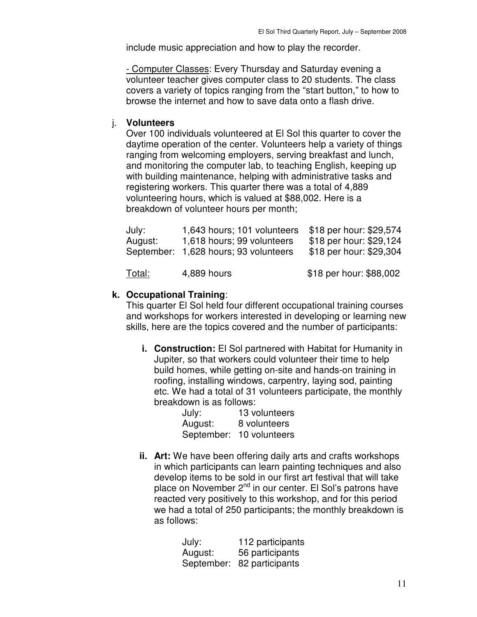include music appreciation and how to play the recorder.

- Computer Classes: Every Thursday and Saturday evening a volunteer teacher gives computer class to 20 students. The class covers a variety of topics ranging from the "start button," to how to browse the internet and how to save data onto a flash drive.

#### j. **Volunteers**

Over 100 individuals volunteered at El Sol this quarter to cover the daytime operation of the center. Volunteers help a variety of things ranging from welcoming employers, serving breakfast and lunch, and monitoring the computer lab, to teaching English, keeping up with building maintenance, helping with administrative tasks and registering workers. This quarter there was a total of 4,889 volunteering hours, which is valued at \$88,002. Here is a breakdown of volunteer hours per month;

| July:   | 1,643 hours; 101 volunteers           | \$18 per hour: \$29,574 |
|---------|---------------------------------------|-------------------------|
| August: | 1,618 hours; 99 volunteers            | \$18 per hour: \$29,124 |
|         | September: 1,628 hours; 93 volunteers | \$18 per hour: \$29,304 |
|         |                                       |                         |
| Total:  | 4,889 hours                           | \$18 per hour: \$88,002 |

### **k. Occupational Training**:

This quarter El Sol held four different occupational training courses and workshops for workers interested in developing or learning new skills, here are the topics covered and the number of participants:

**i. Construction:** El Sol partnered with Habitat for Humanity in Jupiter, so that workers could volunteer their time to help build homes, while getting on-site and hands-on training in roofing, installing windows, carpentry, laying sod, painting etc. We had a total of 31 volunteers participate, the monthly breakdown is as follows:

| July:      | 13 volunteers |
|------------|---------------|
| August:    | 8 volunteers  |
| September: | 10 volunteers |

**ii. Art:** We have been offering daily arts and crafts workshops in which participants can learn painting techniques and also develop items to be sold in our first art festival that will take place on November 2nd in our center. El Sol's patrons have reacted very positively to this workshop, and for this period we had a total of 250 participants; the monthly breakdown is as follows:

| July:   | 112 participants           |
|---------|----------------------------|
| August: | 56 participants            |
|         | September: 82 participants |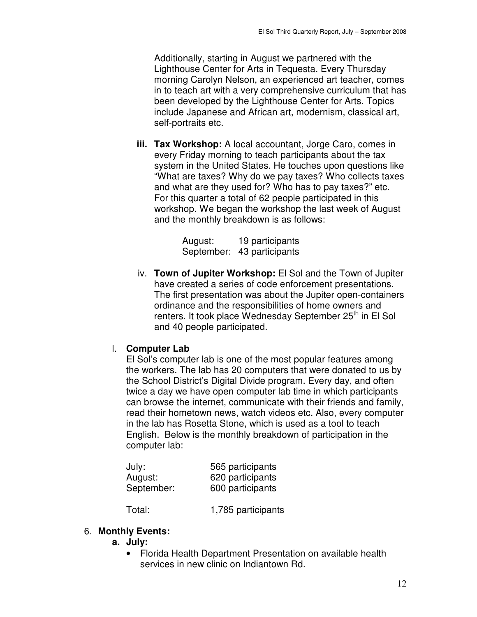Additionally, starting in August we partnered with the Lighthouse Center for Arts in Tequesta. Every Thursday morning Carolyn Nelson, an experienced art teacher, comes in to teach art with a very comprehensive curriculum that has been developed by the Lighthouse Center for Arts. Topics include Japanese and African art, modernism, classical art, self-portraits etc.

**iii. Tax Workshop:** A local accountant, Jorge Caro, comes in every Friday morning to teach participants about the tax system in the United States. He touches upon questions like "What are taxes? Why do we pay taxes? Who collects taxes and what are they used for? Who has to pay taxes?" etc. For this quarter a total of 62 people participated in this workshop. We began the workshop the last week of August and the monthly breakdown is as follows:

| August:    | 19 participants |
|------------|-----------------|
| September: | 43 participants |

iv. **Town of Jupiter Workshop:** El Sol and the Town of Jupiter have created a series of code enforcement presentations. The first presentation was about the Jupiter open-containers ordinance and the responsibilities of home owners and renters. It took place Wednesday September 25<sup>th</sup> in El Sol and 40 people participated.

#### l. **Computer Lab**

El Sol's computer lab is one of the most popular features among the workers. The lab has 20 computers that were donated to us by the School District's Digital Divide program. Every day, and often twice a day we have open computer lab time in which participants can browse the internet, communicate with their friends and family, read their hometown news, watch videos etc. Also, every computer in the lab has Rosetta Stone, which is used as a tool to teach English. Below is the monthly breakdown of participation in the computer lab:

| July:      | 565 participants |
|------------|------------------|
| August:    | 620 participants |
| September: | 600 participants |

Total: 1,785 participants

### 6. **Monthly Events:**

- **a. July:** 
	- Florida Health Department Presentation on available health services in new clinic on Indiantown Rd.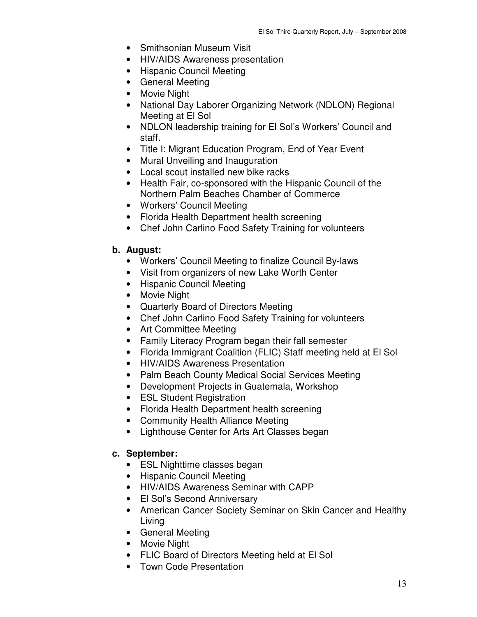- Smithsonian Museum Visit
- HIV/AIDS Awareness presentation
- Hispanic Council Meeting
- General Meeting
- Movie Night
- National Day Laborer Organizing Network (NDLON) Regional Meeting at El Sol
- NDLON leadership training for El Sol's Workers' Council and staff.
- Title I: Migrant Education Program, End of Year Event
- Mural Unveiling and Inauguration
- Local scout installed new bike racks
- Health Fair, co-sponsored with the Hispanic Council of the Northern Palm Beaches Chamber of Commerce
- Workers' Council Meeting
- Florida Health Department health screening
- Chef John Carlino Food Safety Training for volunteers

### **b. August:**

- Workers' Council Meeting to finalize Council By-laws
- Visit from organizers of new Lake Worth Center
- Hispanic Council Meeting
- Movie Night
- Quarterly Board of Directors Meeting
- Chef John Carlino Food Safety Training for volunteers
- Art Committee Meeting
- Family Literacy Program began their fall semester
- Florida Immigrant Coalition (FLIC) Staff meeting held at El Sol
- HIV/AIDS Awareness Presentation
- Palm Beach County Medical Social Services Meeting
- Development Projects in Guatemala, Workshop
- ESL Student Registration
- Florida Health Department health screening
- Community Health Alliance Meeting
- Lighthouse Center for Arts Art Classes began

## **c. September:**

- ESL Nighttime classes began
- Hispanic Council Meeting
- HIV/AIDS Awareness Seminar with CAPP
- El Sol's Second Anniversary
- American Cancer Society Seminar on Skin Cancer and Healthy Living
- General Meeting
- Movie Night
- FLIC Board of Directors Meeting held at El Sol
- Town Code Presentation